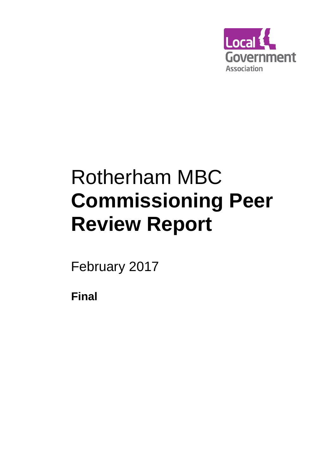

# Rotherham MBC **Commissioning Peer Review Report**

February 2017

**Final**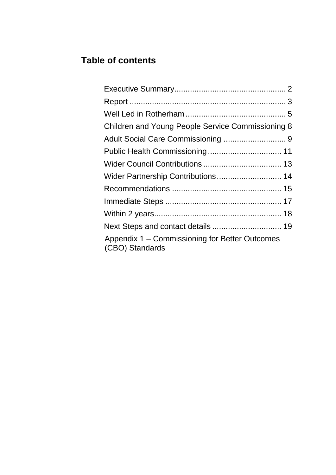## **Table of contents**

| Children and Young People Service Commissioning 8                 |  |
|-------------------------------------------------------------------|--|
|                                                                   |  |
|                                                                   |  |
|                                                                   |  |
| Wider Partnership Contributions 14                                |  |
|                                                                   |  |
|                                                                   |  |
|                                                                   |  |
| Next Steps and contact details  19                                |  |
| Appendix 1 – Commissioning for Better Outcomes<br>(CBO) Standards |  |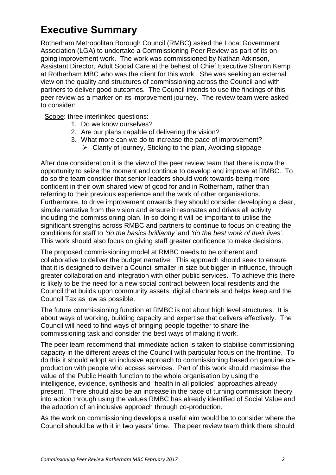## **Executive Summary**

Rotherham Metropolitan Borough Council (RMBC) asked the Local Government Association (LGA) to undertake a Commissioning Peer Review as part of its ongoing improvement work. The work was commissioned by Nathan Atkinson, Assistant Director, Adult Social Care at the behest of Chief Executive Sharon Kemp at Rotherham MBC who was the client for this work. She was seeking an external view on the quality and structures of commissioning across the Council and with partners to deliver good outcomes. The Council intends to use the findings of this peer review as a marker on its improvement journey. The review team were asked to consider:

Scope: three interlinked questions:

- 1. Do we know ourselves?
- 2. Are our plans capable of delivering the vision?
- 3. What more can we do to increase the pace of improvement?
	- $\triangleright$  Clarity of journey, Sticking to the plan, Avoiding slippage

After due consideration it is the view of the peer review team that there is now the opportunity to seize the moment and continue to develop and improve at RMBC. To do so the team consider that senior leaders should work towards being more confident in their own shared view of good for and in Rotherham, rather than referring to their previous experience and the work of other organisations. Furthermore, to drive improvement onwards they should consider developing a clear, simple narrative from the vision and ensure it resonates and drives all activity including the commissioning plan. In so doing it will be important to utilise the significant strengths across RMBC and partners to continue to focus on creating the conditions for staff to *'do the basics brilliantly'* and *'do the best work of their lives'*. This work should also focus on giving staff greater confidence to make decisions.

The proposed commissioning model at RMBC needs to be coherent and collaborative to deliver the budget narrative. This approach should seek to ensure that it is designed to deliver a Council smaller in size but bigger in influence, through greater collaboration and integration with other public services. To achieve this there is likely to be the need for a new social contract between local residents and the Council that builds upon community assets, digital channels and helps keep and the Council Tax as low as possible.

The future commissioning function at RMBC is not about high level structures. It is about ways of working, building capacity and expertise that delivers effectively. The Council will need to find ways of bringing people together to share the commissioning task and consider the best ways of making it work.

The peer team recommend that immediate action is taken to stabilise commissioning capacity in the different areas of the Council with particular focus on the frontline. To do this it should adopt an inclusive approach to commissioning based on genuine coproduction with people who access services. Part of this work should maximise the value of the Public Health function to the whole organisation by using the intelligence, evidence, synthesis and "health in all policies" approaches already present. There should also be an increase in the pace of turning commission theory into action through using the values RMBC has already identified of Social Value and the adoption of an inclusive approach through co-production.

As the work on commissioning develops a useful aim would be to consider where the Council should be with it in two years' time. The peer review team think there should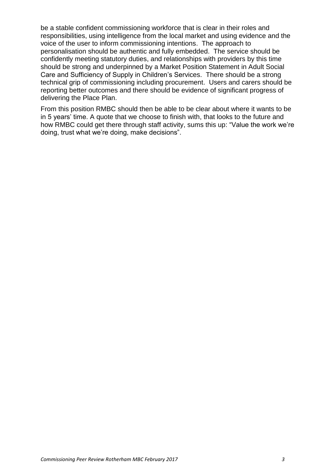be a stable confident commissioning workforce that is clear in their roles and responsibilities, using intelligence from the local market and using evidence and the voice of the user to inform commissioning intentions. The approach to personalisation should be authentic and fully embedded. The service should be confidently meeting statutory duties, and relationships with providers by this time should be strong and underpinned by a Market Position Statement in Adult Social Care and Sufficiency of Supply in Children's Services. There should be a strong technical grip of commissioning including procurement. Users and carers should be reporting better outcomes and there should be evidence of significant progress of delivering the Place Plan.

From this position RMBC should then be able to be clear about where it wants to be in 5 years' time. A quote that we choose to finish with, that looks to the future and how RMBC could get there through staff activity, sums this up: "Value the work we're doing, trust what we're doing, make decisions".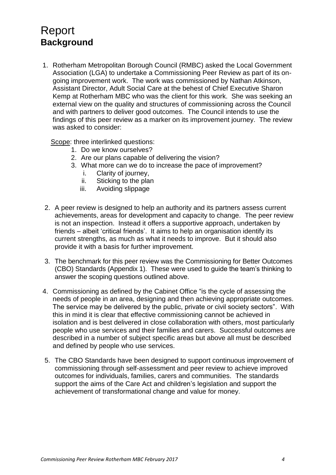## <span id="page-4-0"></span>Report **Background**

1. Rotherham Metropolitan Borough Council (RMBC) asked the Local Government Association (LGA) to undertake a Commissioning Peer Review as part of its ongoing improvement work. The work was commissioned by Nathan Atkinson, Assistant Director, Adult Social Care at the behest of Chief Executive Sharon Kemp at Rotherham MBC who was the client for this work. She was seeking an external view on the quality and structures of commissioning across the Council and with partners to deliver good outcomes. The Council intends to use the findings of this peer review as a marker on its improvement journey. The review was asked to consider:

Scope: three interlinked questions:

- 1. Do we know ourselves?
- 2. Are our plans capable of delivering the vision?
- 3. What more can we do to increase the pace of improvement?
	- i. Clarity of journey,
	- ii. Sticking to the plan
	- iii. Avoiding slippage
- 2. A peer review is designed to help an authority and its partners assess current achievements, areas for development and capacity to change. The peer review is not an inspection. Instead it offers a supportive approach, undertaken by friends – albeit 'critical friends'. It aims to help an organisation identify its current strengths, as much as what it needs to improve. But it should also provide it with a basis for further improvement.
- 3. The benchmark for this peer review was the Commissioning for Better Outcomes (CBO) Standards (Appendix 1). These were used to guide the team's thinking to answer the scoping questions outlined above.
- 4. Commissioning as defined by the Cabinet Office "is the cycle of assessing the needs of people in an area, designing and then achieving appropriate outcomes. The service may be delivered by the public, private or civil society sectors". With this in mind it is clear that effective commissioning cannot be achieved in isolation and is best delivered in close collaboration with others, most particularly people who use services and their families and carers. Successful outcomes are described in a number of subject specific areas but above all must be described and defined by people who use services.
- 5. The CBO Standards have been designed to support continuous improvement of commissioning through self-assessment and peer review to achieve improved outcomes for individuals, families, carers and communities. The standards support the aims of the Care Act and children's legislation and support the achievement of transformational change and value for money.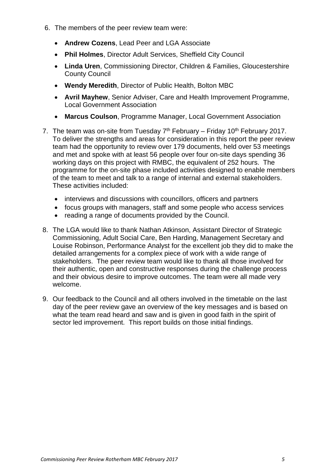- 6. The members of the peer review team were:
	- **Andrew Cozens**, Lead Peer and LGA Associate
	- **Phil Holmes**, Director Adult Services, Sheffield City Council
	- **Linda Uren**, Commissioning Director, Children & Families, Gloucestershire County Council
	- **Wendy Meredith**, Director of Public Health, Bolton MBC
	- **Avril Mayhew**, Senior Adviser, Care and Health Improvement Programme, Local Government Association
	- **Marcus Coulson**, Programme Manager, Local Government Association
- 7. The team was on-site from Tuesday  $7<sup>th</sup>$  February Friday 10<sup>th</sup> February 2017. To deliver the strengths and areas for consideration in this report the peer review team had the opportunity to review over 179 documents, held over 53 meetings and met and spoke with at least 56 people over four on-site days spending 36 working days on this project with RMBC, the equivalent of 252 hours. The programme for the on-site phase included activities designed to enable members of the team to meet and talk to a range of internal and external stakeholders. These activities included:
	- interviews and discussions with councillors, officers and partners
	- focus groups with managers, staff and some people who access services
	- reading a range of documents provided by the Council.
- 8. The LGA would like to thank Nathan Atkinson, Assistant Director of Strategic Commissioning, Adult Social Care, Ben Harding, Management Secretary and Louise Robinson, Performance Analyst for the excellent job they did to make the detailed arrangements for a complex piece of work with a wide range of stakeholders. The peer review team would like to thank all those involved for their authentic, open and constructive responses during the challenge process and their obvious desire to improve outcomes. The team were all made very welcome.
- 9. Our feedback to the Council and all others involved in the timetable on the last day of the peer review gave an overview of the key messages and is based on what the team read heard and saw and is given in good faith in the spirit of sector led improvement. This report builds on those initial findings.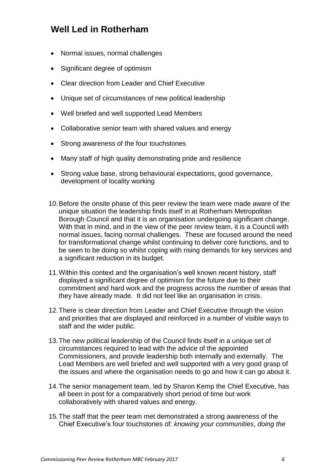## **Well Led in Rotherham**

- Normal issues, normal challenges
- Significant degree of optimism
- Clear direction from Leader and Chief Executive
- Unique set of circumstances of new political leadership
- Well briefed and well supported Lead Members
- Collaborative senior team with shared values and energy
- Strong awareness of the four touchstones
- Many staff of high quality demonstrating pride and resilience
- Strong value base, strong behavioural expectations, good governance, development of locality working
- 10.Before the onsite phase of this peer review the team were made aware of the unique situation the leadership finds itself in at Rotherham Metropolitan Borough Council and that it is an organisation undergoing significant change. With that in mind, and in the view of the peer review team, it is a Council with normal issues, facing normal challenges. These are focused around the need for transformational change whilst continuing to deliver core functions, and to be seen to be doing so whilst coping with rising demands for key services and a significant reduction in its budget.
- 11.Within this context and the organisation's well known recent history, staff displayed a significant degree of optimism for the future due to their commitment and hard work and the progress across the number of areas that they have already made. It did not feel like an organisation in crisis.
- 12.There is clear direction from Leader and Chief Executive through the vision and priorities that are displayed and reinforced in a number of visible ways to staff and the wider public.
- 13.The new political leadership of the Council finds itself in a unique set of circumstances required to lead with the advice of the appointed Commissioners, and provide leadership both internally and externally. The Lead Members are well briefed and well supported with a very good grasp of the issues and where the organisation needs to go and how it can go about it.
- 14.The senior management team, led by Sharon Kemp the Chief Executive, has all been in post for a comparatively short period of time but work collaboratively with shared values and energy.
- 15.The staff that the peer team met demonstrated a strong awareness of the Chief Executive's four touchstones of: *knowing your communities*, *doing the*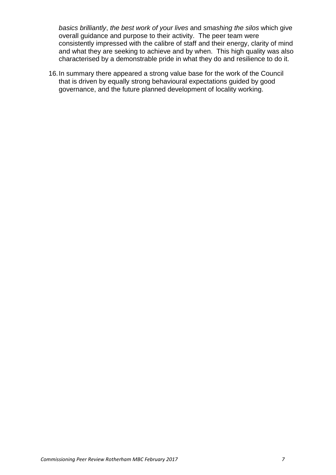*basics brilliantly*, *the best work of your lives* and *smashing the silos* which give overall guidance and purpose to their activity. The peer team were consistently impressed with the calibre of staff and their energy, clarity of mind and what they are seeking to achieve and by when. This high quality was also characterised by a demonstrable pride in what they do and resilience to do it.

16.In summary there appeared a strong value base for the work of the Council that is driven by equally strong behavioural expectations guided by good governance, and the future planned development of locality working.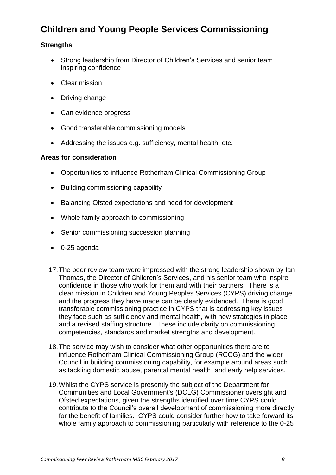## **Children and Young People Services Commissioning**

#### **Strengths**

- Strong leadership from Director of Children's Services and senior team inspiring confidence
- Clear mission
- Driving change
- Can evidence progress
- Good transferable commissioning models
- Addressing the issues e.g. sufficiency, mental health, etc.

#### **Areas for consideration**

- Opportunities to influence Rotherham Clinical Commissioning Group
- Building commissioning capability
- Balancing Ofsted expectations and need for development
- Whole family approach to commissioning
- Senior commissioning succession planning
- 0-25 agenda
- 17.The peer review team were impressed with the strong leadership shown by Ian Thomas, the Director of Children's Services, and his senior team who inspire confidence in those who work for them and with their partners. There is a clear mission in Children and Young Peoples Services (CYPS) driving change and the progress they have made can be clearly evidenced. There is good transferable commissioning practice in CYPS that is addressing key issues they face such as sufficiency and mental health, with new strategies in place and a revised staffing structure. These include clarity on commissioning competencies, standards and market strengths and development.
- 18.The service may wish to consider what other opportunities there are to influence Rotherham Clinical Commissioning Group (RCCG) and the wider Council in building commissioning capability, for example around areas such as tackling domestic abuse, parental mental health, and early help services.
- 19.Whilst the CYPS service is presently the subject of the Department for Communities and Local Government's (DCLG) Commissioner oversight and Ofsted expectations, given the strengths identified over time CYPS could contribute to the Council's overall development of commissioning more directly for the benefit of families. CYPS could consider further how to take forward its whole family approach to commissioning particularly with reference to the 0-25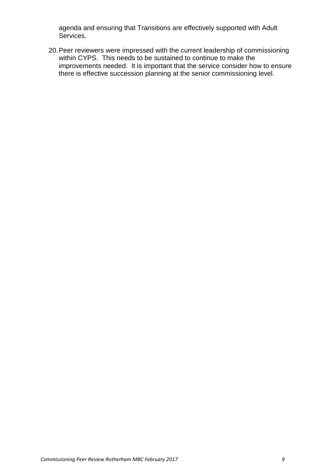agenda and ensuring that Transitions are effectively supported with Adult Services.

20.Peer reviewers were impressed with the current leadership of commissioning within CYPS. This needs to be sustained to continue to make the improvements needed. It is important that the service consider how to ensure there is effective succession planning at the senior commissioning level.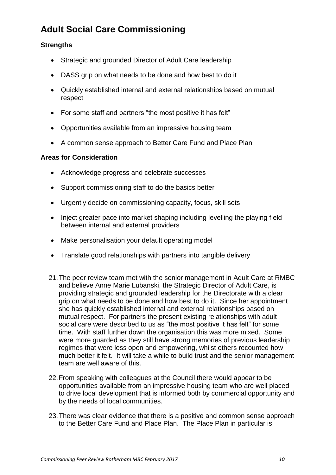## **Adult Social Care Commissioning**

#### **Strengths**

- Strategic and grounded Director of Adult Care leadership
- DASS grip on what needs to be done and how best to do it
- Quickly established internal and external relationships based on mutual respect
- For some staff and partners "the most positive it has felt"
- Opportunities available from an impressive housing team
- A common sense approach to Better Care Fund and Place Plan

#### **Areas for Consideration**

- Acknowledge progress and celebrate successes
- Support commissioning staff to do the basics better
- Urgently decide on commissioning capacity, focus, skill sets
- Inject greater pace into market shaping including levelling the playing field between internal and external providers
- Make personalisation your default operating model
- Translate good relationships with partners into tangible delivery
- 21.The peer review team met with the senior management in Adult Care at RMBC and believe Anne Marie Lubanski, the Strategic Director of Adult Care, is providing strategic and grounded leadership for the Directorate with a clear grip on what needs to be done and how best to do it. Since her appointment she has quickly established internal and external relationships based on mutual respect. For partners the present existing relationships with adult social care were described to us as "the most positive it has felt" for some time. With staff further down the organisation this was more mixed. Some were more guarded as they still have strong memories of previous leadership regimes that were less open and empowering, whilst others recounted how much better it felt. It will take a while to build trust and the senior management team are well aware of this.
- 22.From speaking with colleagues at the Council there would appear to be opportunities available from an impressive housing team who are well placed to drive local development that is informed both by commercial opportunity and by the needs of local communities.
- 23.There was clear evidence that there is a positive and common sense approach to the Better Care Fund and Place Plan. The Place Plan in particular is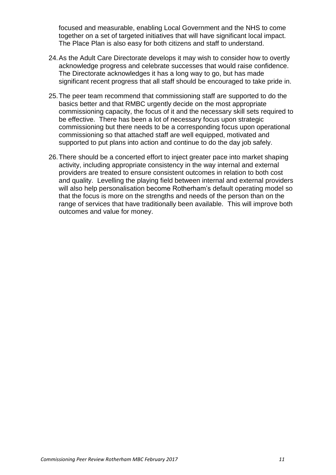focused and measurable, enabling Local Government and the NHS to come together on a set of targeted initiatives that will have significant local impact. The Place Plan is also easy for both citizens and staff to understand.

- 24.As the Adult Care Directorate develops it may wish to consider how to overtly acknowledge progress and celebrate successes that would raise confidence. The Directorate acknowledges it has a long way to go, but has made significant recent progress that all staff should be encouraged to take pride in.
- 25.The peer team recommend that commissioning staff are supported to do the basics better and that RMBC urgently decide on the most appropriate commissioning capacity, the focus of it and the necessary skill sets required to be effective. There has been a lot of necessary focus upon strategic commissioning but there needs to be a corresponding focus upon operational commissioning so that attached staff are well equipped, motivated and supported to put plans into action and continue to do the day job safely.
- 26.There should be a concerted effort to inject greater pace into market shaping activity, including appropriate consistency in the way internal and external providers are treated to ensure consistent outcomes in relation to both cost and quality. Levelling the playing field between internal and external providers will also help personalisation become Rotherham's default operating model so that the focus is more on the strengths and needs of the person than on the range of services that have traditionally been available. This will improve both outcomes and value for money.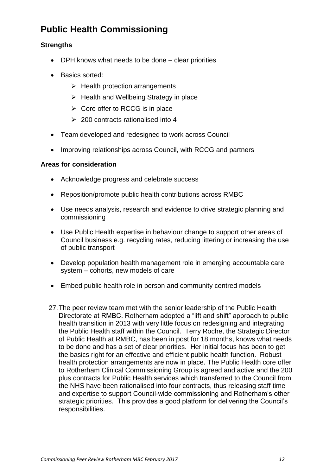## **Public Health Commissioning**

#### **Strengths**

- DPH knows what needs to be done clear priorities
- Basics sorted:
	- $\triangleright$  Health protection arrangements
	- $\triangleright$  Health and Wellbeing Strategy in place
	- $\triangleright$  Core offer to RCCG is in place
	- $\geq$  200 contracts rationalised into 4
- Team developed and redesigned to work across Council
- Improving relationships across Council, with RCCG and partners

#### **Areas for consideration**

- Acknowledge progress and celebrate success
- Reposition/promote public health contributions across RMBC
- Use needs analysis, research and evidence to drive strategic planning and commissioning
- Use Public Health expertise in behaviour change to support other areas of Council business e.g. recycling rates, reducing littering or increasing the use of public transport
- Develop population health management role in emerging accountable care system – cohorts, new models of care
- Embed public health role in person and community centred models
- 27.The peer review team met with the senior leadership of the Public Health Directorate at RMBC. Rotherham adopted a "lift and shift" approach to public health transition in 2013 with very little focus on redesigning and integrating the Public Health staff within the Council. Terry Roche, the Strategic Director of Public Health at RMBC, has been in post for 18 months, knows what needs to be done and has a set of clear priorities. Her initial focus has been to get the basics right for an effective and efficient public health function. Robust health protection arrangements are now in place. The Public Health core offer to Rotherham Clinical Commissioning Group is agreed and active and the 200 plus contracts for Public Health services which transferred to the Council from the NHS have been rationalised into four contracts, thus releasing staff time and expertise to support Council-wide commissioning and Rotherham's other strategic priorities. This provides a good platform for delivering the Council's responsibilities.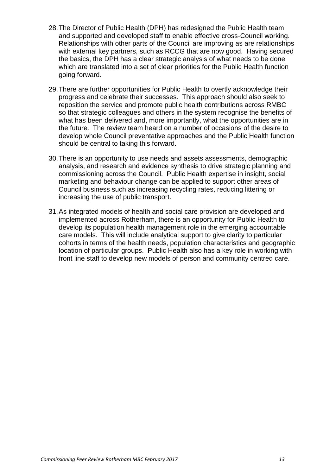- 28.The Director of Public Health (DPH) has redesigned the Public Health team and supported and developed staff to enable effective cross-Council working. Relationships with other parts of the Council are improving as are relationships with external key partners, such as RCCG that are now good. Having secured the basics, the DPH has a clear strategic analysis of what needs to be done which are translated into a set of clear priorities for the Public Health function going forward.
- 29.There are further opportunities for Public Health to overtly acknowledge their progress and celebrate their successes. This approach should also seek to reposition the service and promote public health contributions across RMBC so that strategic colleagues and others in the system recognise the benefits of what has been delivered and, more importantly, what the opportunities are in the future. The review team heard on a number of occasions of the desire to develop whole Council preventative approaches and the Public Health function should be central to taking this forward.
- 30.There is an opportunity to use needs and assets assessments, demographic analysis, and research and evidence synthesis to drive strategic planning and commissioning across the Council. Public Health expertise in insight, social marketing and behaviour change can be applied to support other areas of Council business such as increasing recycling rates, reducing littering or increasing the use of public transport.
- 31.As integrated models of health and social care provision are developed and implemented across Rotherham, there is an opportunity for Public Health to develop its population health management role in the emerging accountable care models. This will include analytical support to give clarity to particular cohorts in terms of the health needs, population characteristics and geographic location of particular groups. Public Health also has a key role in working with front line staff to develop new models of person and community centred care.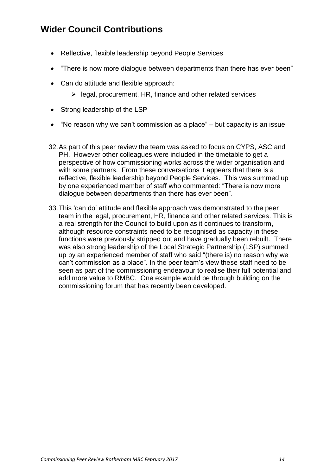## **Wider Council Contributions**

- Reflective, flexible leadership beyond People Services
- "There is now more dialogue between departments than there has ever been"
- Can do attitude and flexible approach:
	- $\triangleright$  legal, procurement, HR, finance and other related services
- Strong leadership of the LSP
- "No reason why we can't commission as a place" but capacity is an issue
- 32.As part of this peer review the team was asked to focus on CYPS, ASC and PH. However other colleagues were included in the timetable to get a perspective of how commissioning works across the wider organisation and with some partners. From these conversations it appears that there is a reflective, flexible leadership beyond People Services. This was summed up by one experienced member of staff who commented: "There is now more dialogue between departments than there has ever been".
- 33.This 'can do' attitude and flexible approach was demonstrated to the peer team in the legal, procurement, HR, finance and other related services. This is a real strength for the Council to build upon as it continues to transform, although resource constraints need to be recognised as capacity in these functions were previously stripped out and have gradually been rebuilt. There was also strong leadership of the Local Strategic Partnership (LSP) summed up by an experienced member of staff who said "(there is) no reason why we can't commission as a place". In the peer team's view these staff need to be seen as part of the commissioning endeavour to realise their full potential and add more value to RMBC. One example would be through building on the commissioning forum that has recently been developed.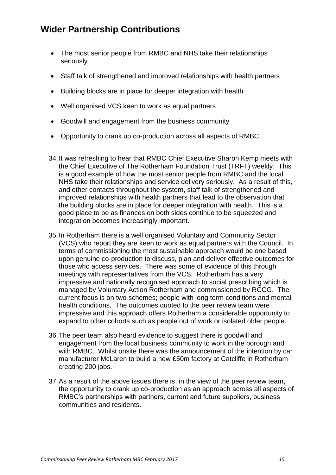## **Wider Partnership Contributions**

- The most senior people from RMBC and NHS take their relationships seriously
- Staff talk of strengthened and improved relationships with health partners
- Building blocks are in place for deeper integration with health
- Well organised VCS keen to work as equal partners
- Goodwill and engagement from the business community
- Opportunity to crank up co-production across all aspects of RMBC
- 34.It was refreshing to hear that RMBC Chief Executive Sharon Kemp meets with the Chief Executive of The Rotherham Foundation Trust (TRFT) weekly. This is a good example of how the most senior people from RMBC and the local NHS take their relationships and service delivery seriously. As a result of this, and other contacts throughout the system, staff talk of strengthened and improved relationships with health partners that lead to the observation that the building blocks are in place for deeper integration with health. This is a good place to be as finances on both sides continue to be squeezed and integration becomes increasingly important.
- 35.In Rotherham there is a well organised Voluntary and Community Sector (VCS) who report they are keen to work as equal partners with the Council. In terms of commissioning the most sustainable approach would be one based upon genuine co-production to discuss, plan and deliver effective outcomes for those who access services. There was some of evidence of this through meetings with representatives from the VCS. Rotherham has a very impressive and nationally recognised approach to social prescribing which is managed by Voluntary Action Rotherham and commissioned by RCCG. The current focus is on two schemes; people with long term conditions and mental health conditions. The outcomes quoted to the peer review team were impressive and this approach offers Rotherham a considerable opportunity to expand to other cohorts such as people out of work or isolated older people.
- 36.The peer team also heard evidence to suggest there is goodwill and engagement from the local business community to work in the borough and with RMBC. Whilst onsite there was the announcement of the intention by car manufacturer McLaren to build a new £50m factory at Catcliffe in Rotherham creating 200 jobs.
- 37.As a result of the above issues there is, in the view of the peer review team, the opportunity to crank up co-production as an approach across all aspects of RMBC's partnerships with partners, current and future suppliers, business communities and residents.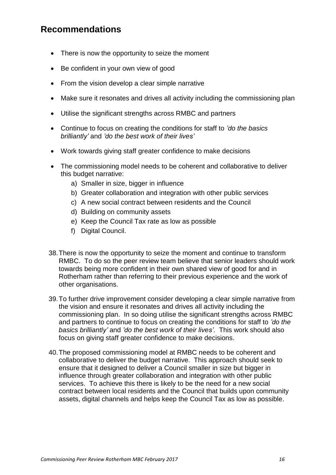## **Recommendations**

- There is now the opportunity to seize the moment
- Be confident in your own view of good
- From the vision develop a clear simple narrative
- Make sure it resonates and drives all activity including the commissioning plan
- Utilise the significant strengths across RMBC and partners
- Continue to focus on creating the conditions for staff to *'do the basics brilliantly'* and *'do the best work of their lives'*
- Work towards giving staff greater confidence to make decisions
- The commissioning model needs to be coherent and collaborative to deliver this budget narrative:
	- a) Smaller in size, bigger in influence
	- b) Greater collaboration and integration with other public services
	- c) A new social contract between residents and the Council
	- d) Building on community assets
	- e) Keep the Council Tax rate as low as possible
	- f) Digital Council.
- 38.There is now the opportunity to seize the moment and continue to transform RMBC. To do so the peer review team believe that senior leaders should work towards being more confident in their own shared view of good for and in Rotherham rather than referring to their previous experience and the work of other organisations.
- 39.To further drive improvement consider developing a clear simple narrative from the vision and ensure it resonates and drives all activity including the commissioning plan. In so doing utilise the significant strengths across RMBC and partners to continue to focus on creating the conditions for staff to *'do the basics brilliantly'* and *'do the best work of their lives'*. This work should also focus on giving staff greater confidence to make decisions.
- 40.The proposed commissioning model at RMBC needs to be coherent and collaborative to deliver the budget narrative. This approach should seek to ensure that it designed to deliver a Council smaller in size but bigger in influence through greater collaboration and integration with other public services. To achieve this there is likely to be the need for a new social contract between local residents and the Council that builds upon community assets, digital channels and helps keep the Council Tax as low as possible.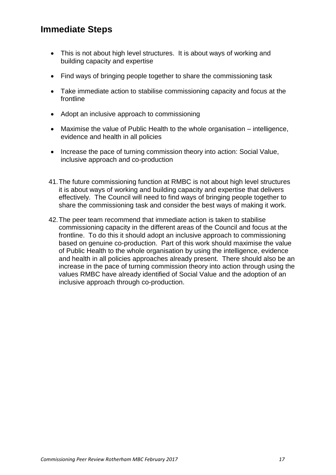## **Immediate Steps**

- This is not about high level structures. It is about ways of working and building capacity and expertise
- Find ways of bringing people together to share the commissioning task
- Take immediate action to stabilise commissioning capacity and focus at the frontline
- Adopt an inclusive approach to commissioning
- Maximise the value of Public Health to the whole organisation intelligence, evidence and health in all policies
- Increase the pace of turning commission theory into action: Social Value, inclusive approach and co-production
- 41.The future commissioning function at RMBC is not about high level structures it is about ways of working and building capacity and expertise that delivers effectively. The Council will need to find ways of bringing people together to share the commissioning task and consider the best ways of making it work.
- 42.The peer team recommend that immediate action is taken to stabilise commissioning capacity in the different areas of the Council and focus at the frontline. To do this it should adopt an inclusive approach to commissioning based on genuine co-production. Part of this work should maximise the value of Public Health to the whole organisation by using the intelligence, evidence and health in all policies approaches already present. There should also be an increase in the pace of turning commission theory into action through using the values RMBC have already identified of Social Value and the adoption of an inclusive approach through co-production.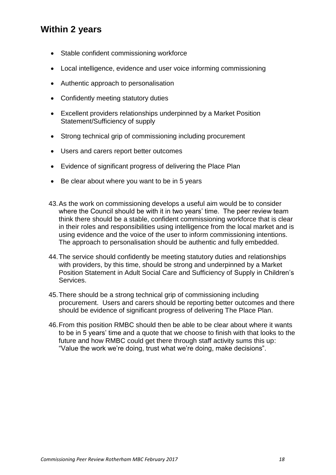## **Within 2 years**

- Stable confident commissioning workforce
- Local intelligence, evidence and user voice informing commissioning
- Authentic approach to personalisation
- Confidently meeting statutory duties
- Excellent providers relationships underpinned by a Market Position Statement/Sufficiency of supply
- Strong technical grip of commissioning including procurement
- Users and carers report better outcomes
- Evidence of significant progress of delivering the Place Plan
- Be clear about where you want to be in 5 years
- 43.As the work on commissioning develops a useful aim would be to consider where the Council should be with it in two years' time. The peer review team think there should be a stable, confident commissioning workforce that is clear in their roles and responsibilities using intelligence from the local market and is using evidence and the voice of the user to inform commissioning intentions. The approach to personalisation should be authentic and fully embedded.
- 44.The service should confidently be meeting statutory duties and relationships with providers, by this time, should be strong and underpinned by a Market Position Statement in Adult Social Care and Sufficiency of Supply in Children's Services.
- 45.There should be a strong technical grip of commissioning including procurement. Users and carers should be reporting better outcomes and there should be evidence of significant progress of delivering The Place Plan.
- 46.From this position RMBC should then be able to be clear about where it wants to be in 5 years' time and a quote that we choose to finish with that looks to the future and how RMBC could get there through staff activity sums this up: "Value the work we're doing, trust what we're doing, make decisions".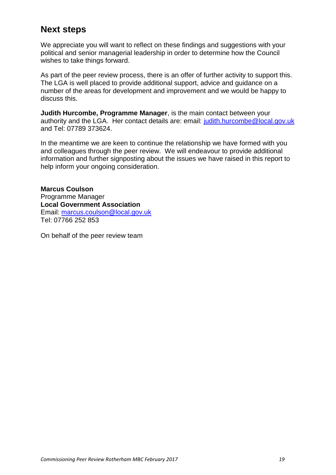## **Next steps**

We appreciate you will want to reflect on these findings and suggestions with your political and senior managerial leadership in order to determine how the Council wishes to take things forward.

As part of the peer review process, there is an offer of further activity to support this. The LGA is well placed to provide additional support, advice and guidance on a number of the areas for development and improvement and we would be happy to discuss this.

**Judith Hurcombe, Programme Manager**, is the main contact between your authority and the LGA. Her contact details are: email: [judith.hurcombe@local.gov.uk](mailto:judith.hurcombe@local.gov.uk) and Tel: 07789 373624.

In the meantime we are keen to continue the relationship we have formed with you and colleagues through the peer review. We will endeavour to provide additional information and further signposting about the issues we have raised in this report to help inform your ongoing consideration.

**Marcus Coulson** Programme Manager **Local Government Association** Email: [marcus.coulson@local.gov.uk](mailto:marcus.coulson@local.gov.uk) Tel: 07766 252 853

On behalf of the peer review team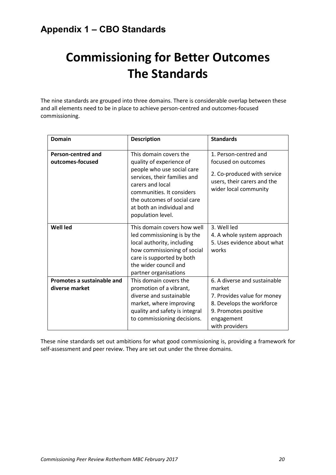## **Commissioning for Better Outcomes The Standards**

The nine standards are grouped into three domains. There is considerable overlap between these and all elements need to be in place to achieve person-centred and outcomes-focused commissioning.

| <b>Domain</b>                                 | <b>Description</b>                                                                                                                                                                                                                                 | <b>Standards</b>                                                                                                                                           |
|-----------------------------------------------|----------------------------------------------------------------------------------------------------------------------------------------------------------------------------------------------------------------------------------------------------|------------------------------------------------------------------------------------------------------------------------------------------------------------|
| <b>Person-centred and</b><br>outcomes-focused | This domain covers the<br>quality of experience of<br>people who use social care<br>services, their families and<br>carers and local<br>communities. It considers<br>the outcomes of social care<br>at both an individual and<br>population level. | 1. Person-centred and<br>focused on outcomes<br>2. Co-produced with service<br>users, their carers and the<br>wider local community                        |
| <b>Well led</b>                               | This domain covers how well<br>led commissioning is by the<br>local authority, including<br>how commissioning of social<br>care is supported by both<br>the wider council and<br>partner organisations                                             | 3. Well led<br>4. A whole system approach<br>5. Uses evidence about what<br>works                                                                          |
| Promotes a sustainable and<br>diverse market  | This domain covers the<br>promotion of a vibrant,<br>diverse and sustainable<br>market, where improving<br>quality and safety is integral<br>to commissioning decisions.                                                                           | 6. A diverse and sustainable<br>market<br>7. Provides value for money<br>8. Develops the workforce<br>9. Promotes positive<br>engagement<br>with providers |

These nine standards set out ambitions for what good commissioning is, providing a framework for self-assessment and peer review. They are set out under the three domains.